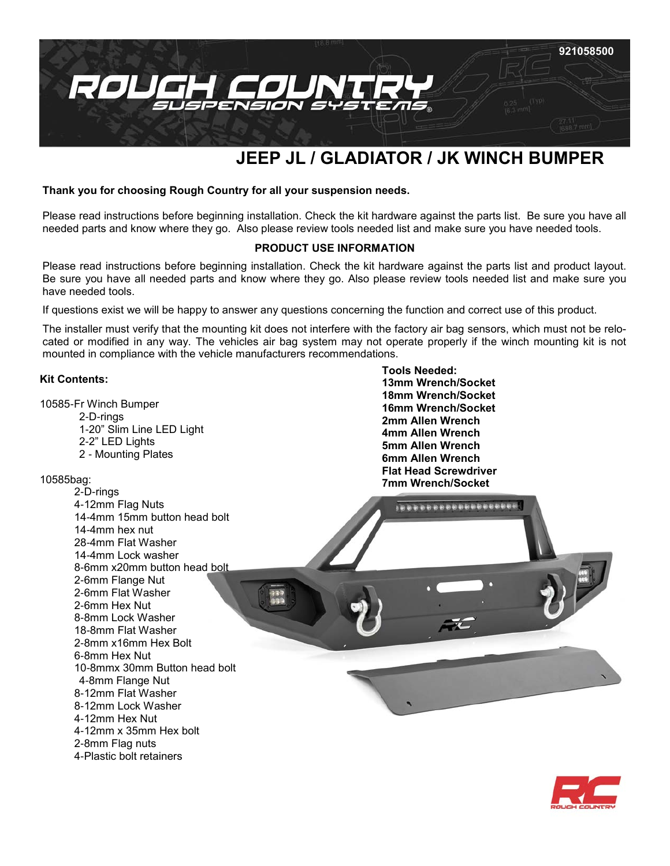

# **JEEP JL / GLADIATOR / JK WINCH BUMPER**

**Tools Needed:**

**13mm Wrench/Socket 18mm Wrench/Socket 16mm Wrench/Socket 2mm Allen Wrench 4mm Allen Wrench 5mm Allen Wrench 6mm Allen Wrench Flat Head Screwdriver**

#### **Thank you for choosing Rough Country for all your suspension needs.**

Please read instructions before beginning installation. Check the kit hardware against the parts list. Be sure you have all needed parts and know where they go. Also please review tools needed list and make sure you have needed tools.

## **PRODUCT USE INFORMATION**

Please read instructions before beginning installation. Check the kit hardware against the parts list and product layout. Be sure you have all needed parts and know where they go. Also please review tools needed list and make sure you have needed tools.

If questions exist we will be happy to answer any questions concerning the function and correct use of this product.

The installer must verify that the mounting kit does not interfere with the factory air bag sensors, which must not be relocated or modified in any way. The vehicles air bag system may not operate properly if the winch mounting kit is not mounted in compliance with the vehicle manufacturers recommendations.

#### **Kit Contents:**

10585-Fr Winch Bumper

2-D-rings -20" Slim Line LED Light -2" LED Lights - Mounting Plates

#### 10585b

| pag:                          | 7mm Wrench/Socket |
|-------------------------------|-------------------|
| 2-D-rings                     |                   |
| 4-12mm Flag Nuts              |                   |
| 14-4mm 15mm button head bolt  |                   |
| 14-4mm hex nut                |                   |
| 28-4mm Flat Washer            |                   |
| 14-4mm Lock washer            |                   |
| 8-6mm x20mm button head bolt  |                   |
| 2-6mm Flange Nut              |                   |
| 2-6mm Flat Washer             |                   |
| 2-6mm Hex Nut                 |                   |
| 8-8mm Lock Washer             |                   |
| 18-8mm Flat Washer            |                   |
| 2-8mm x16mm Hex Bolt          |                   |
| 6-8mm Hex Nut                 |                   |
| 10-8mmx 30mm Button head bolt |                   |
| 4-8mm Flange Nut              |                   |
| 8-12mm Flat Washer            |                   |
| 8-12mm Lock Washer            |                   |
| 4-12mm Hex Nut                |                   |
| 4-12mm x 35mm Hex bolt        |                   |
| 2-8mm Flag nuts               |                   |
| 4-Plastic bolt retainers      |                   |

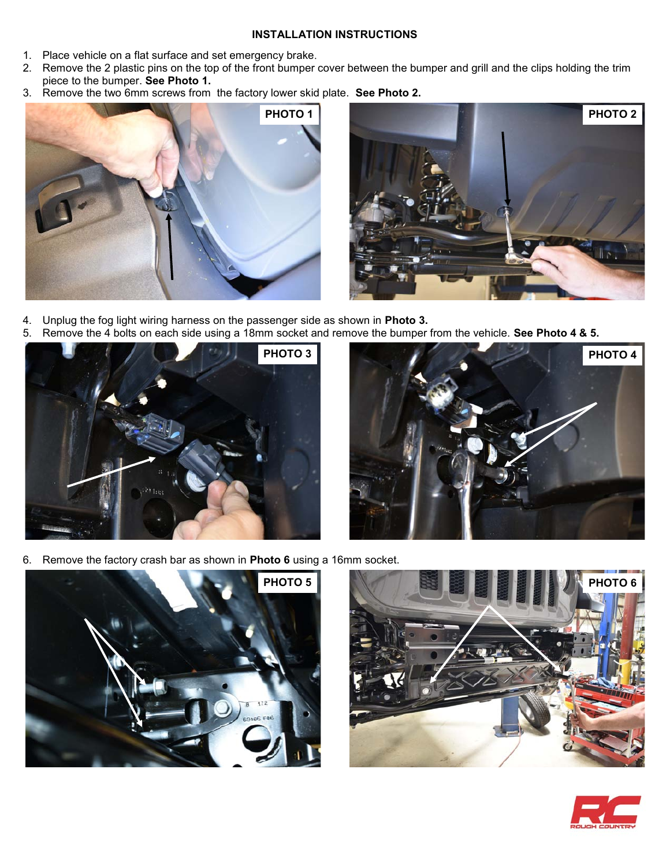#### **INSTALLATION INSTRUCTIONS**

- 1. Place vehicle on a flat surface and set emergency brake.
- 2. Remove the 2 plastic pins on the top of the front bumper cover between the bumper and grill and the clips holding the trim piece to the bumper. **See Photo 1.**
- 3. Remove the two 6mm screws from the factory lower skid plate. **See Photo 2.**





- 4. Unplug the fog light wiring harness on the passenger side as shown in **Photo 3.**
- 5. Remove the 4 bolts on each side using a 18mm socket and remove the bumper from the vehicle. **See Photo 4 & 5.**





6. Remove the factory crash bar as shown in **Photo 6** using a 16mm socket.





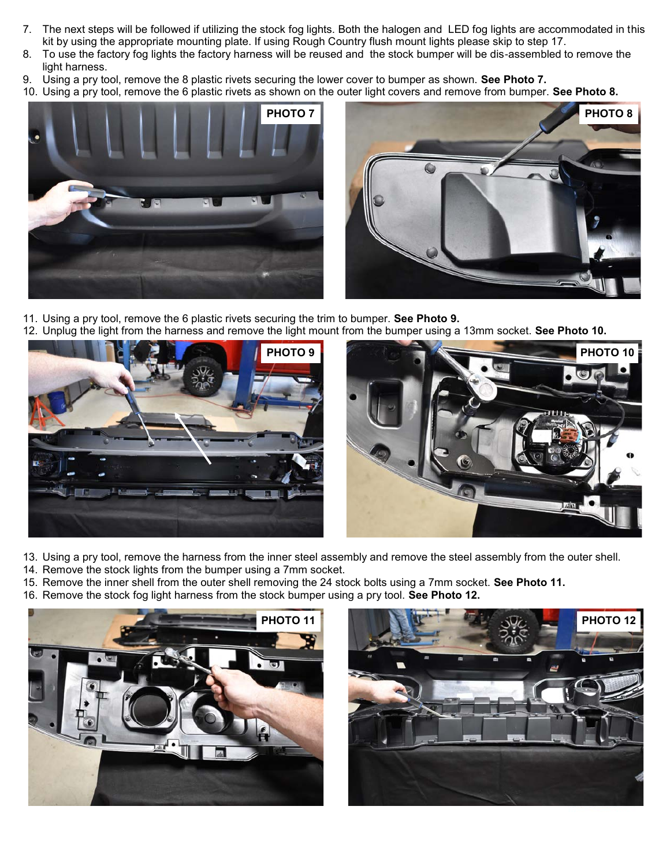- 7. The next steps will be followed if utilizing the stock fog lights. Both the halogen and LED fog lights are accommodated in this kit by using the appropriate mounting plate. If using Rough Country flush mount lights please skip to step 17.
- 8. To use the factory fog lights the factory harness will be reused and the stock bumper will be dis-assembled to remove the light harness.
- 9. Using a pry tool, remove the 8 plastic rivets securing the lower cover to bumper as shown. **See Photo 7.**
- 10. Using a pry tool, remove the 6 plastic rivets as shown on the outer light covers and remove from bumper. **See Photo 8.**





- 11. Using a pry tool, remove the 6 plastic rivets securing the trim to bumper. **See Photo 9.**
- 12. Unplug the light from the harness and remove the light mount from the bumper using a 13mm socket. **See Photo 10.**



- 13. Using a pry tool, remove the harness from the inner steel assembly and remove the steel assembly from the outer shell.
- 14. Remove the stock lights from the bumper using a 7mm socket.
- 15. Remove the inner shell from the outer shell removing the 24 stock bolts using a 7mm socket. **See Photo 11.**
- 16. Remove the stock fog light harness from the stock bumper using a pry tool. **See Photo 12.**



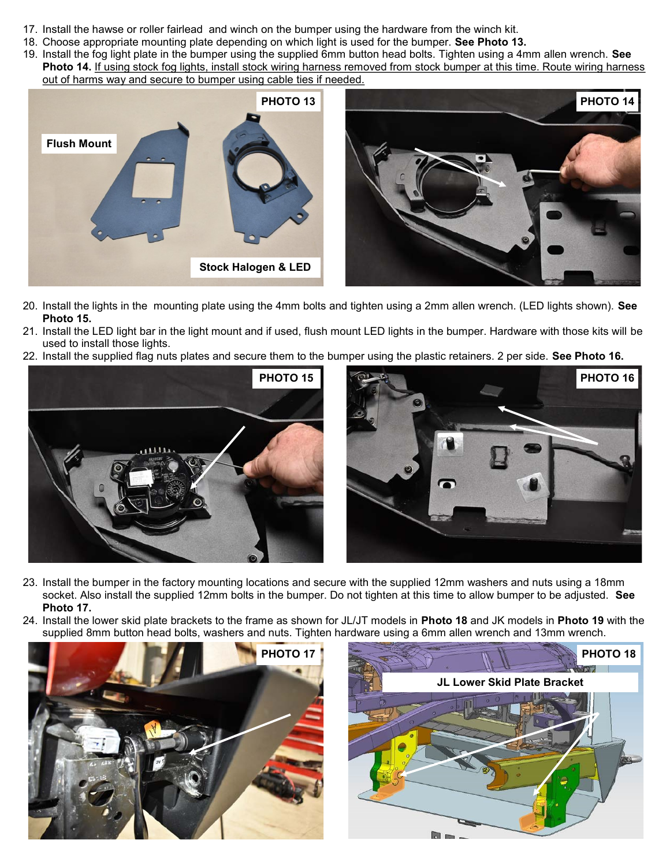- 17. Install the hawse or roller fairlead and winch on the bumper using the hardware from the winch kit.
- 18. Choose appropriate mounting plate depending on which light is used for the bumper. **See Photo 13.**
- 19. Install the fog light plate in the bumper using the supplied 6mm button head bolts. Tighten using a 4mm allen wrench. **See Photo 14.** If using stock fog lights, install stock wiring harness removed from stock bumper at this time. Route wiring harness out of harms way and secure to bumper using cable ties if needed.



- 20. Install the lights in the mounting plate using the 4mm bolts and tighten using a 2mm allen wrench. (LED lights shown). **See Photo 15.**
- 21. Install the LED light bar in the light mount and if used, flush mount LED lights in the bumper. Hardware with those kits will be used to install those lights.
- 22. Install the supplied flag nuts plates and secure them to the bumper using the plastic retainers. 2 per side. **See Photo 16.**





- 23. Install the bumper in the factory mounting locations and secure with the supplied 12mm washers and nuts using a 18mm socket. Also install the supplied 12mm bolts in the bumper. Do not tighten at this time to allow bumper to be adjusted. **See Photo 17.**
- 24. Install the lower skid plate brackets to the frame as shown for JL/JT models in **Photo 18** and JK models in **Photo 19** with the supplied 8mm button head bolts, washers and nuts. Tighten hardware using a 6mm allen wrench and 13mm wrench.



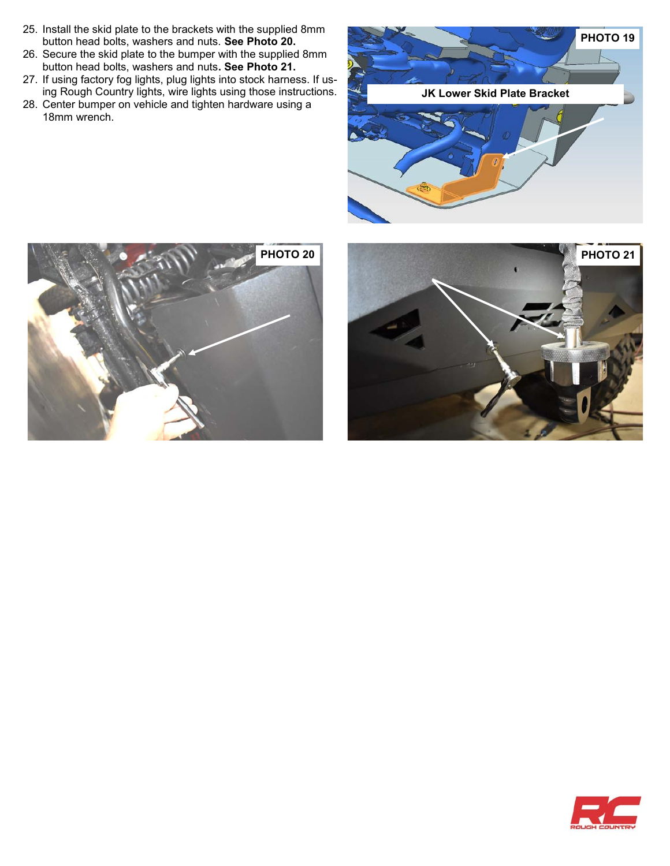- 25. Install the skid plate to the brackets with the supplied 8mm button head bolts, washers and nuts. **See Photo 20.**
- 26. Secure the skid plate to the bumper with the supplied 8mm button head bolts, washers and nuts**. See Photo 21.**
- 27. If using factory fog lights, plug lights into stock harness. If using Rough Country lights, wire lights using those instructions.
- 28. Center bumper on vehicle and tighten hardware using a 18mm wrench.